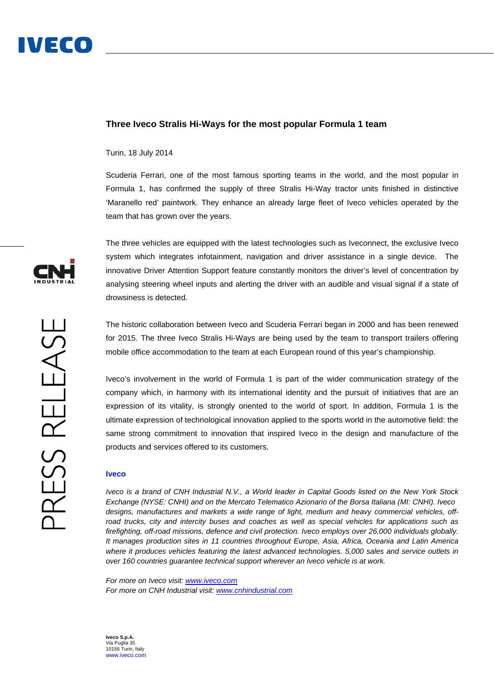## **Three Iveco Stralis Hi-Ways for the most popular Formula 1 team**

Turin, 18 July 2014

Scuderia Ferrari, one of the most famous sporting teams in the world, and the most popular in Formula 1, has confirmed the supply of three Stralis Hi-Way tractor units finished in distinctive 'Maranello red' paintwork. They enhance an already large fleet of Iveco vehicles operated by the team that has grown over the years.

The three vehicles are equipped with the latest technologies such as Iveconnect, the exclusive Iveco system which integrates infotainment, navigation and driver assistance in a single device. The innovative Driver Attention Support feature constantly monitors the driver's level of concentration by analysing steering wheel inputs and alerting the driver with an audible and visual signal if a state of drowsiness is detected.

The historic collaboration between Iveco and Scuderia Ferrari began in 2000 and has been renewed for 2015. The three Iveco Stralis Hi-Ways are being used by the team to transport trailers offering mobile office accommodation to the team at each European round of this year's championship.

Iveco's involvement in the world of Formula 1 is part of the wider communication strategy of the company which, in harmony with its international identity and the pursuit of initiatives that are an expression of its vitality, is strongly oriented to the world of sport. In addition, Formula 1 is the ultimate expression of technological innovation applied to the sports world in the automotive field: the same strong commitment to innovation that inspired Iveco in the design and manufacture of the products and services offered to its customers.

## **Iveco**

*Iveco is a brand of CNH Industrial N.V., a World leader in Capital Goods listed on the New York Stock Exchange (NYSE: CNHI) and on the Mercato Telematico Azionario of the Borsa Italiana (MI: CNHI). Iveco designs, manufactures and markets a wide range of light, medium and heavy commercial vehicles, offroad trucks, city and intercity buses and coaches as well as special vehicles for applications such as firefighting, off-road missions, defence and civil protection. Iveco employs over 26,000 individuals globally. It manages production sites in 11 countries throughout Europe, Asia, Africa, Oceania and Latin America where it produces vehicles featuring the latest advanced technologies. 5,000 sales and service outlets in over 160 countries guarantee technical support wherever an Iveco vehicle is at work.* 

*For more on Iveco visit: www.iveco.com For more on CNH Industrial visit: www.cnhindustrial.com*

**Iveco S.p.A.**  Via Puglia 35 10156 Turin, Italy www.iveco.com